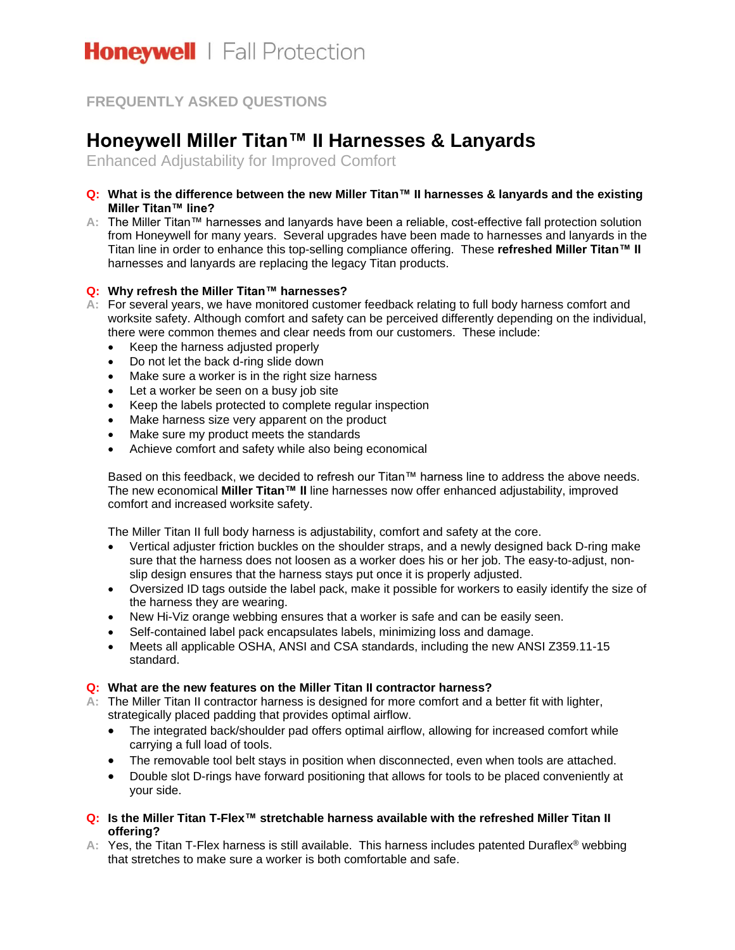# **FREQUENTLY ASKED QUESTIONS**

# **Honeywell Miller Titan™ II Harnesses & Lanyards**

Enhanced Adjustability for Improved Comfort

- **Q: What is the difference between the new Miller Titan™ II harnesses & lanyards and the existing Miller Titan™ line?**
- **A:** The Miller Titan™ harnesses and lanyards have been a reliable, cost-effective fall protection solution from Honeywell for many years. Several upgrades have been made to harnesses and lanyards in the Titan line in order to enhance this top-selling compliance offering. These **refreshed Miller Titan™ II**  harnesses and lanyards are replacing the legacy Titan products.

## **Q: Why refresh the Miller Titan™ harnesses?**

- **A:** For several years, we have monitored customer feedback relating to full body harness comfort and worksite safety. Although comfort and safety can be perceived differently depending on the individual, there were common themes and clear needs from our customers. These include:
	- Keep the harness adjusted properly
	- Do not let the back d-ring slide down
	- Make sure a worker is in the right size harness
	- Let a worker be seen on a busy job site
	- Keep the labels protected to complete regular inspection
	- Make harness size very apparent on the product
	- Make sure my product meets the standards
	- Achieve comfort and safety while also being economical

Based on this feedback, we decided to refresh our Titan™ harness line to address the above needs. The new economical **Miller Titan™ II** line harnesses now offer enhanced adjustability, improved comfort and increased worksite safety.

The Miller Titan II full body harness is adjustability, comfort and safety at the core.

- Vertical adjuster friction buckles on the shoulder straps, and a newly designed back D-ring make sure that the harness does not loosen as a worker does his or her job. The easy-to-adjust, nonslip design ensures that the harness stays put once it is properly adjusted.
- Oversized ID tags outside the label pack, make it possible for workers to easily identify the size of the harness they are wearing.
- New Hi-Viz orange webbing ensures that a worker is safe and can be easily seen.
- Self-contained label pack encapsulates labels, minimizing loss and damage.
- Meets all applicable OSHA, ANSI and CSA standards, including the new ANSI Z359.11-15 standard.

### **Q: What are the new features on the Miller Titan II contractor harness?**

- **A:** The Miller Titan II contractor harness is designed for more comfort and a better fit with lighter, strategically placed padding that provides optimal airflow.
	- The integrated back/shoulder pad offers optimal airflow, allowing for increased comfort while carrying a full load of tools.
	- The removable tool belt stays in position when disconnected, even when tools are attached.
	- Double slot D-rings have forward positioning that allows for tools to be placed conveniently at your side.
- **Q: Is the Miller Titan T-Flex™ stretchable harness available with the refreshed Miller Titan II offering?**
- **A:** Yes, the Titan T-Flex harness is still available. This harness includes patented Duraflex® webbing that stretches to make sure a worker is both comfortable and safe.